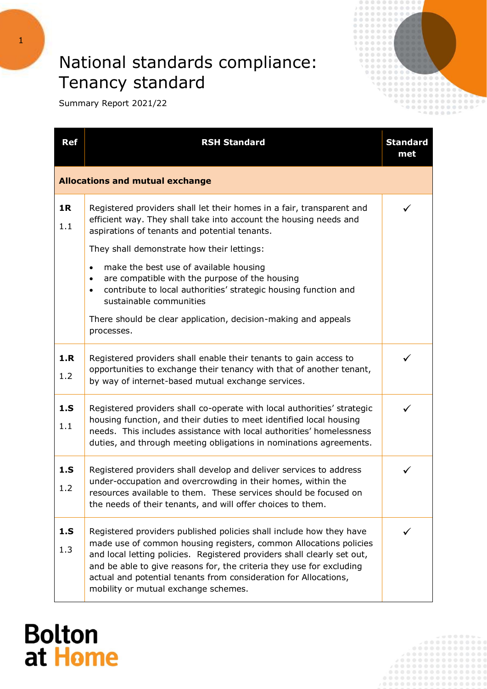#### National standards compliance: Tenancy standard



Summary Report 2021/22

| <b>Ref</b> | <b>RSH Standard</b>                                                                                                                                                                                                                                                                                                                                                                                     | <b>Standard</b><br>met |  |
|------------|---------------------------------------------------------------------------------------------------------------------------------------------------------------------------------------------------------------------------------------------------------------------------------------------------------------------------------------------------------------------------------------------------------|------------------------|--|
|            | <b>Allocations and mutual exchange</b>                                                                                                                                                                                                                                                                                                                                                                  |                        |  |
| 1R<br>1.1  | Registered providers shall let their homes in a fair, transparent and<br>efficient way. They shall take into account the housing needs and<br>aspirations of tenants and potential tenants.<br>They shall demonstrate how their lettings:                                                                                                                                                               |                        |  |
|            | make the best use of available housing<br>$\bullet$<br>are compatible with the purpose of the housing<br>$\bullet$<br>contribute to local authorities' strategic housing function and<br>$\bullet$<br>sustainable communities                                                                                                                                                                           |                        |  |
|            | There should be clear application, decision-making and appeals<br>processes.                                                                                                                                                                                                                                                                                                                            |                        |  |
| 1.R<br>1.2 | Registered providers shall enable their tenants to gain access to<br>opportunities to exchange their tenancy with that of another tenant,<br>by way of internet-based mutual exchange services.                                                                                                                                                                                                         |                        |  |
| 1.S<br>1.1 | Registered providers shall co-operate with local authorities' strategic<br>housing function, and their duties to meet identified local housing<br>needs. This includes assistance with local authorities' homelessness<br>duties, and through meeting obligations in nominations agreements.                                                                                                            |                        |  |
| 1.S<br>1.2 | Registered providers shall develop and deliver services to address<br>under-occupation and overcrowding in their homes, within the<br>resources available to them. These services should be focused on<br>the needs of their tenants, and will offer choices to them.                                                                                                                                   | ✓                      |  |
| 1.S<br>1.3 | Registered providers published policies shall include how they have<br>made use of common housing registers, common Allocations policies<br>and local letting policies. Registered providers shall clearly set out,<br>and be able to give reasons for, the criteria they use for excluding<br>actual and potential tenants from consideration for Allocations,<br>mobility or mutual exchange schemes. |                        |  |

#### **Bolton** at Home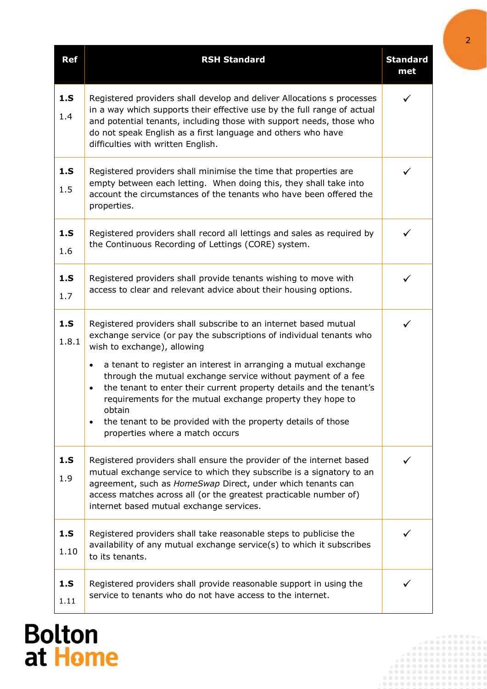| <b>Ref</b>   | <b>RSH Standard</b>                                                                                                                                                                                                                                                                                                             | <b>Standard</b><br>met |
|--------------|---------------------------------------------------------------------------------------------------------------------------------------------------------------------------------------------------------------------------------------------------------------------------------------------------------------------------------|------------------------|
| 1.S<br>1.4   | Registered providers shall develop and deliver Allocations s processes<br>in a way which supports their effective use by the full range of actual<br>and potential tenants, including those with support needs, those who<br>do not speak English as a first language and others who have<br>difficulties with written English. | ✓                      |
| 1.S<br>1.5   | Registered providers shall minimise the time that properties are<br>empty between each letting. When doing this, they shall take into<br>account the circumstances of the tenants who have been offered the<br>properties.                                                                                                      | ✓                      |
| 1.S<br>1.6   | Registered providers shall record all lettings and sales as required by<br>the Continuous Recording of Lettings (CORE) system.                                                                                                                                                                                                  | ✓                      |
| 1.S<br>1.7   | Registered providers shall provide tenants wishing to move with<br>access to clear and relevant advice about their housing options.                                                                                                                                                                                             |                        |
| 1.S<br>1.8.1 | Registered providers shall subscribe to an internet based mutual<br>exchange service (or pay the subscriptions of individual tenants who<br>wish to exchange), allowing                                                                                                                                                         | ✓                      |
|              | a tenant to register an interest in arranging a mutual exchange<br>$\bullet$<br>through the mutual exchange service without payment of a fee<br>the tenant to enter their current property details and the tenant's<br>$\bullet$<br>requirements for the mutual exchange property they hope to<br>obtain                        |                        |
|              | the tenant to be provided with the property details of those<br>properties where a match occurs                                                                                                                                                                                                                                 |                        |
| 1.S<br>1.9   | Registered providers shall ensure the provider of the internet based<br>mutual exchange service to which they subscribe is a signatory to an<br>agreement, such as HomeSwap Direct, under which tenants can<br>access matches across all (or the greatest practicable number of)<br>internet based mutual exchange services.    |                        |
| 1.S<br>1.10  | Registered providers shall take reasonable steps to publicise the<br>availability of any mutual exchange service(s) to which it subscribes<br>to its tenants.                                                                                                                                                                   |                        |
| 1.S<br>1.11  | Registered providers shall provide reasonable support in using the<br>service to tenants who do not have access to the internet.                                                                                                                                                                                                |                        |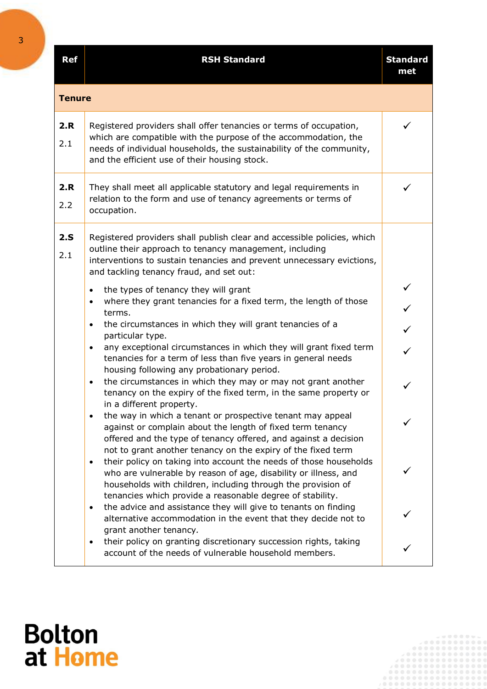| <b>Ref</b> | <b>RSH Standard</b>                                                                                                                                                                                                                                                                         | <b>Standard</b><br>met |  |  |  |
|------------|---------------------------------------------------------------------------------------------------------------------------------------------------------------------------------------------------------------------------------------------------------------------------------------------|------------------------|--|--|--|
|            | <b>Tenure</b>                                                                                                                                                                                                                                                                               |                        |  |  |  |
| 2.R<br>2.1 | Registered providers shall offer tenancies or terms of occupation,<br>which are compatible with the purpose of the accommodation, the<br>needs of individual households, the sustainability of the community,<br>and the efficient use of their housing stock.                              |                        |  |  |  |
| 2.R<br>2.2 | They shall meet all applicable statutory and legal requirements in<br>relation to the form and use of tenancy agreements or terms of<br>occupation.                                                                                                                                         |                        |  |  |  |
| 2.S<br>2.1 | Registered providers shall publish clear and accessible policies, which<br>outline their approach to tenancy management, including<br>interventions to sustain tenancies and prevent unnecessary evictions,<br>and tackling tenancy fraud, and set out:                                     |                        |  |  |  |
|            | the types of tenancy they will grant<br>$\bullet$<br>where they grant tenancies for a fixed term, the length of those<br>$\bullet$<br>terms.                                                                                                                                                |                        |  |  |  |
|            | the circumstances in which they will grant tenancies of a<br>$\bullet$<br>particular type.<br>any exceptional circumstances in which they will grant fixed term<br>$\bullet$                                                                                                                |                        |  |  |  |
|            | tenancies for a term of less than five years in general needs<br>housing following any probationary period.<br>the circumstances in which they may or may not grant another<br>$\bullet$                                                                                                    | ✓                      |  |  |  |
|            | tenancy on the expiry of the fixed term, in the same property or<br>in a different property.<br>the way in which a tenant or prospective tenant may appeal<br>against or complain about the length of fixed term tenancy<br>offered and the type of tenancy offered, and against a decision |                        |  |  |  |
|            | not to grant another tenancy on the expiry of the fixed term<br>their policy on taking into account the needs of those households<br>$\bullet$<br>who are vulnerable by reason of age, disability or illness, and<br>households with children, including through the provision of           |                        |  |  |  |
|            | tenancies which provide a reasonable degree of stability.<br>the advice and assistance they will give to tenants on finding<br>$\bullet$<br>alternative accommodation in the event that they decide not to<br>grant another tenancy.                                                        |                        |  |  |  |
|            | their policy on granting discretionary succession rights, taking<br>$\bullet$<br>account of the needs of vulnerable household members.                                                                                                                                                      |                        |  |  |  |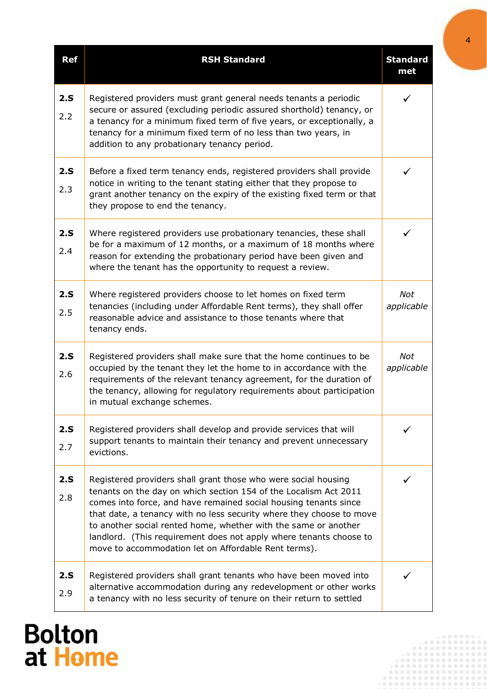| <b>Ref</b> | <b>RSH Standard</b>                                                                                                                                                                                                                                                                                                                                                                                                                                                             | <b>Standard</b><br>met   |
|------------|---------------------------------------------------------------------------------------------------------------------------------------------------------------------------------------------------------------------------------------------------------------------------------------------------------------------------------------------------------------------------------------------------------------------------------------------------------------------------------|--------------------------|
| 2.S<br>2.2 | Registered providers must grant general needs tenants a periodic<br>secure or assured (excluding periodic assured shorthold) tenancy, or<br>a tenancy for a minimum fixed term of five years, or exceptionally, a<br>tenancy for a minimum fixed term of no less than two years, in<br>addition to any probationary tenancy period.                                                                                                                                             | ✓                        |
| 2.S<br>2.3 | Before a fixed term tenancy ends, registered providers shall provide<br>notice in writing to the tenant stating either that they propose to<br>grant another tenancy on the expiry of the existing fixed term or that<br>they propose to end the tenancy.                                                                                                                                                                                                                       | ✓                        |
| 2.S<br>2.4 | Where registered providers use probationary tenancies, these shall<br>be for a maximum of 12 months, or a maximum of 18 months where<br>reason for extending the probationary period have been given and<br>where the tenant has the opportunity to request a review.                                                                                                                                                                                                           | ✓                        |
| 2.S<br>2.5 | Where registered providers choose to let homes on fixed term<br>tenancies (including under Affordable Rent terms), they shall offer<br>reasonable advice and assistance to those tenants where that<br>tenancy ends.                                                                                                                                                                                                                                                            | <b>Not</b><br>applicable |
| 2.S<br>2.6 | Registered providers shall make sure that the home continues to be<br>occupied by the tenant they let the home to in accordance with the<br>requirements of the relevant tenancy agreement, for the duration of<br>the tenancy, allowing for regulatory requirements about participation<br>in mutual exchange schemes.                                                                                                                                                         | Not<br>applicable        |
| 2.S<br>2.7 | Registered providers shall develop and provide services that will<br>support tenants to maintain their tenancy and prevent unnecessary<br>evictions.                                                                                                                                                                                                                                                                                                                            |                          |
| 2.S<br>2.8 | Registered providers shall grant those who were social housing<br>tenants on the day on which section 154 of the Localism Act 2011<br>comes into force, and have remained social housing tenants since<br>that date, a tenancy with no less security where they choose to move<br>to another social rented home, whether with the same or another<br>landlord. (This requirement does not apply where tenants choose to<br>move to accommodation let on Affordable Rent terms). |                          |
| 2.S<br>2.9 | Registered providers shall grant tenants who have been moved into<br>alternative accommodation during any redevelopment or other works<br>a tenancy with no less security of tenure on their return to settled                                                                                                                                                                                                                                                                  |                          |